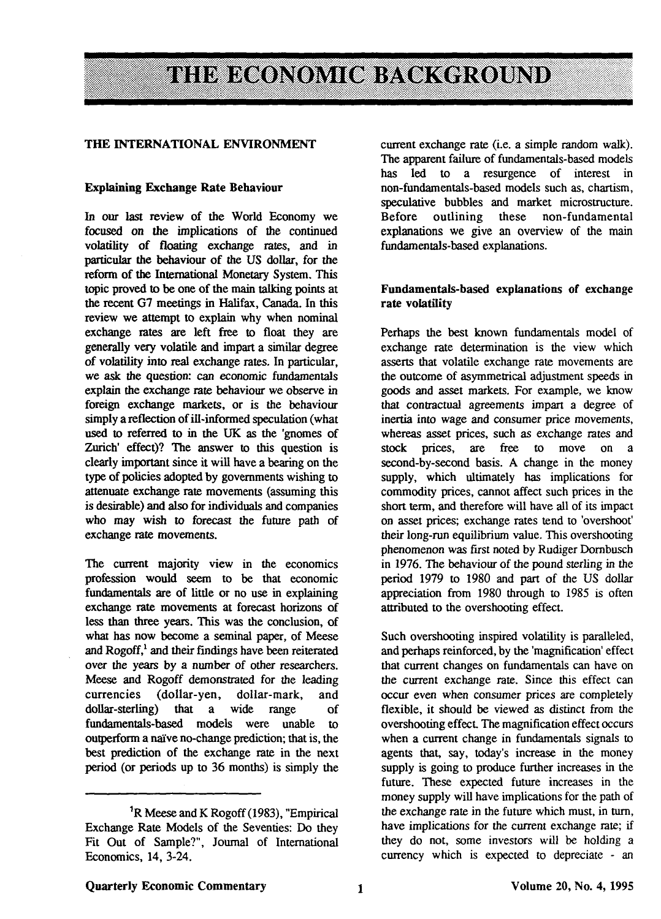# THE ECONOMIC BACKGROUND

#### **THE INTERNATIONAL ENVIRONMENT**

#### **Explaining Exchange Rate Behaviour**

In our last review of the World Economy we focused on **the** implications of the continued volatility of floating exchange rates, and in particular the behaviour of the US dollar, for the reform of the International Monetary System. This topic proved to be one of the main talking points at the recent G7 meetings in Halifax, Canada. In this review we attempt to explain why when nominal exchange rates are left free to float they are generally very volatile and impart a similar degree of volatility into real exchange rates. In particular, we ask the question: can economic fundamentals explain the exchange rate behaviour we observe in foreign exchange markets, or is the behaviour simply a reflection of ill-informed speculation (what used to referred to in the UK as the 'gnomes of Zurich' effect)? The answer to this question is clearly important since it will have a bearing on the type of policies adopted by governments wishing to attenuate exchange rate movements (assuming this is desirable) and also for individuals and companies who may wish to forecast the future path of exchange rate movements.

The current majority view in the economics profession would seem to be that economic fundamentals are of little or no use in explaining exchange rate movements at forecast horizons of less than three years. This was the conclusion, of what has now become a seminal paper, of Meese and Rogoff,<sup>1</sup> and their findings have been reiterated over the years by a number of other researchers. Meese and Rogoff demonstrated for the leading currencies (dollar-yen, dollar-mark, and dollar-sterling) that a wide range of fundamentals-based models were unable to outperform a naive no-change prediction; that is, the best prediction of the exchange rate in the next period (or periods up to 36 months) is simply the

current exchange rate (i.e. a simple random walk). The apparent failure of fundamentals-based models has led to a resurgence of interest in non-fundamentals-based models such as, chartism, speculative bubbles and market microstructure.<br>Before outlining these non-fundamental these non-fundamental explanations we give an overview of the main fundamentals-based explanations.

## **Fundamentals-based explanations of** exchange **rate volatility**

Perhaps the best known fundamentals model of exchange rate determination is the view which asserts that volatile exchange rate movements are the outcome of asymmetrical adjustment speeds in goods and asset markets. For example, we know that contractual agreements impart a degree of inertia into wage and consumer price movements, whereas asset prices, such as exchange rates and stock prices, are free to move on second-by-second basis. A change in the money supply, which ultimately has implications for commodity prices, cannot affect such prices in the short term, and therefore will have all of its impact on asset prices; exchange rates tend to 'overshoot' their long-run equilibrium value. This overshooting phenomenon was first noted by Rudiger Dornbusch in 1976. The behaviour of the pound sterling in the period 1979 to 1980 and part of the US dollar appreciation from 1980 through to 1985 is often attributed to the overshooting effect.

Such overshooting inspired volatility is paralleled, and perhaps reinforced, by die 'magnification' effect that current changes on fundamentals can have on the current exchange rate. Since this effect can occur even when consumer prices are completely flexible, it should be viewed as distinct from the overshooting effect The magnification effect occurs when a current change in fundamentals signals to agents that, say, today's increase in the money supply is going to produce further increases in the future. These expected future increases in the money supply will have implications for the padi of the exchange rate in the future which must, in turn, have implications for the current exchange rate; if they do not, some investors will be holding a currency which is expected to depreciate - an

<sup>&</sup>lt;sup>1</sup>R Meese and K Rogoff (1983), "Empirical Exchange Rate Models of the Seventies: Do they Fit Out of Sample?", Journal of International Economics, 14, 3-24.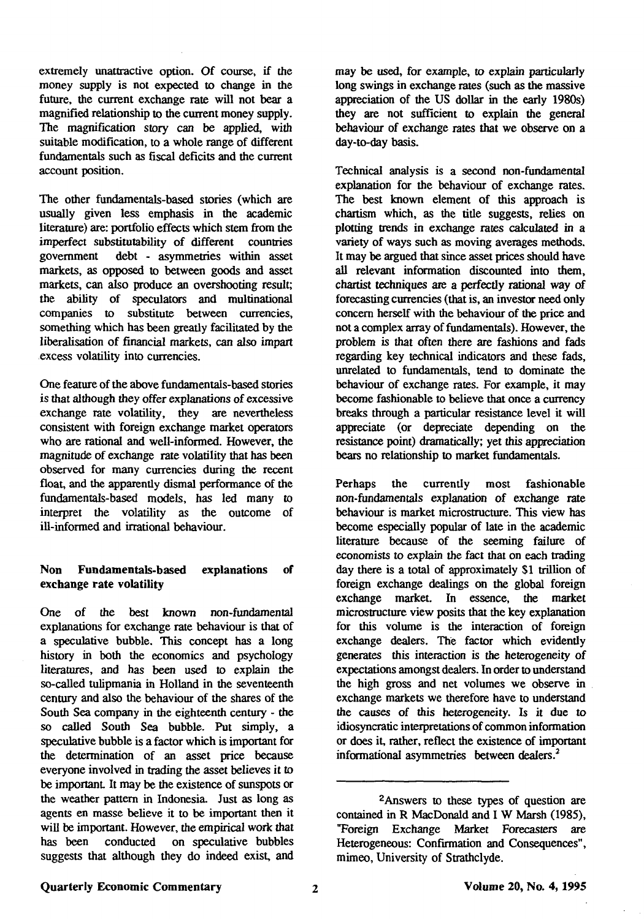extremely unattractive option. Of course, if the money supply is not expected to change in the future, the current exchange rate will not bear a magnified relationship to the current money supply. The magnification story can be applied, with suitable modification, to a whole range of different fundamentals such as fiscal deficits and the current account position.

The other fundamentals-based stories (which are usually given less emphasis in the academic literature) are: portfolio effects which stem from the imperfect substitutability of different countries government debt - asymmetries within asset markets, as opposed to between goods and asset markets, can also produce an overshooting result; the ability of speculators and multinational companies to substitute between currencies, something which has been greatly facilitated by the liberalisation of financial markets, can also impart excess volatility into currencies.

One feature of the above fundamentals-based stories is that although they offer explanations of excessive exchange rate volatility, they are nevertheless consistent with foreign exchange market operators who are rational and well-informed. However, the magnitude of exchange rate volatility that has been observed for many currencies during the recent float, and the apparently dismal performance of the fundamentals-based models, has led many to interpret the volatility as the outcome of ill-informed and irrational behaviour.

# **Non Fundamentals-based explanations of exchange rate volatility**

One of the best known non-fundamental explanations for exchange rate behaviour is that of a speculative bubble. This concept has a long history in both the economics and psychology literatures, and has been used to explain the so-called tulipmania in Holland in the seventeenth century and also the behaviour of the shares of the South Sea company in the eighteenth century - the so called South Sea bubble. Put simply, a speculative bubble is a factor which is important for the determination of an asset price because everyone involved in trading the asset believes it to be important It may be the existence of sunspots or the weather pattern in Indonesia. Just as long as agents en masse believe it to be important then it will be important. However, the empirical work that has been conducted on speculative bubbles suggests that although they do indeed exist, and may be used, for example, to explain particularly long swings in exchange rates (such as the massive appreciation of the US dollar in the early 1980s) they are not sufficient to explain the general behaviour of exchange rates that we observe on a day-to-day basis.

Technical analysis is a second non-fundamental explanation for the behaviour of exchange rates. The best known element of this approach is chartism which, as the title suggests, relies on plotting trends in exchange rates calculated in a variety of ways such as moving averages methods. It may be argued that since asset prices should have all relevant information discounted into them, chartist techniques are a perfectly rational way of forecasting currencies (that is, an investor need only concern herself with the behaviour of the price and not a complex array of fundamentals). However, the problem is that often there are fashions and fads regarding key technical indicators and these fads, unrelated to fundamentals, tend to dominate the behaviour of exchange rates. For example, it may become fashionable to believe that once a currency breaks through a particular resistance level it will appreciate (or depreciate depending on the resistance point) dramatically; yet this appreciation bears no relationship to market fundamentals.

Perhaps the currently most fashionable non-fundamentals explanation of exchange rate behaviour is market microstructure. This view has become especially popular of late in the academic literature because of the seeming failure of economists to explain the fact that on each trading day there is a total of approximately \$1 trillion of foreign exchange dealings on the global foreign exchange market. In essence, the market microstructure view posits that the key explanation for this volume is the interaction of foreign exchange dealers. The factor which evidently generates this interaction is the heterogeneity of expectations amongst dealers. In order to understand the high gross and net volumes we observe in exchange markets we therefore have to understand the causes of this heterogeneity. Is it due to idiosyncratic interpretations of common information or does it, rather, reflect the existence of important informational asymmetries between dealers.<sup>2</sup>

<sup>2</sup>Answers to these types of question are contained in R MacDonald and I W Marsh (1985), "Foreign Exchange Market Forecasters are Heterogeneous: Confirmation and Consequences", mimeo, University of Strathclyde.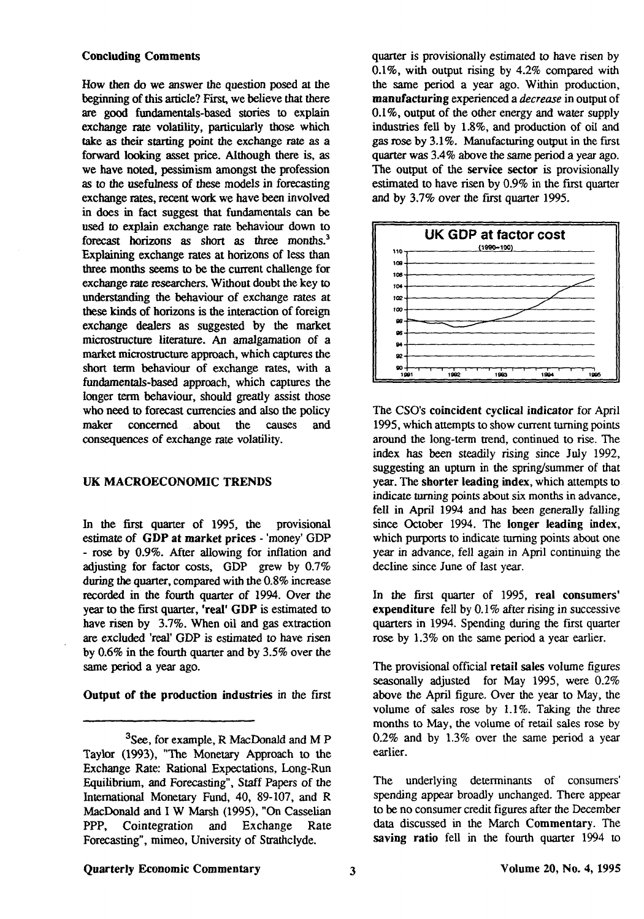## **Concluding Comments**

How then do we answer the question posed at the beginning of this article? First, we believe that there are good fundamentals-based stories to explain exchange rate volatility, particularly those which take as their starting point the exchange rate as a forward looking asset price. Although there is, as we have noted, pessimism amongst the profession as to the usefulness of these models in forecasting exchange rates, recent work we have been involved in does in fact suggest that fundamentals can be used to explain exchange rate behaviour down to forecast horizons as short as three months.<sup>3</sup> Explaining exchange rates at horizons of less than three months seems to be the current challenge for exchange rate researchers. Without doubt the key to understanding the behaviour of exchange rates at these kinds of horizons is the interaction of foreign exchange dealers as suggested by the market microstructure literature. An amalgamation of a market microstructure approach, which captures the short term behaviour of exchange rates, with a fundamentals-based approach, which captures the longer term behaviour, should greatly assist those who need to forecast currencies and also the policy maker concerned about the causes and consequences of exchange rate volatility.

### **UK MACROECONOMIC TRENDS**

In the first quarter of 1995, the provisional estimate of **GDP at market prices** - 'money' GDP - rose by 0.9%. After allowing for inflation and adjusting for factor costs, GDP grew by 0.7% during the quarter, compared with the 0.8% increase recorded in the fourth quarter of 1994. Over the year to the first quarter, **'real' GDP** is estimated to have risen by 3.7%. When oil and gas extraction are excluded 'real' GDP is estimated to have risen by 0.6% in the fourth quarter and by 3.5% over the same period a year ago.

**Output of the production industries** in the first

quarter is provisionally estimated to have risen by 0.1%, with output rising by 4.2% compared with the same period a year ago. Within production, **manufacturing** experienced a *decrease* in output of 0.1%, output of the other energy and water supply industries fell by 1.8%, and production of oil and gas rose by 3.1%. Manufacturing output in the first quarter was 3.4% above the same period a year ago. The output of the service sector is provisionally estimated to have risen by 0.9% in the first quarter and by 3.7% over the first quarter 1995.



The CSO's coincident cyclical indicator for April 1995, which attempts to show current turning points around the long-term trend, continued to rise. The index has been steadily rising since July 1992, suggesting an upturn in the spring/summer of that year. The **shorter** leading index, which attempts to indicate turning points about six months in advance, fell in April 1994 and has been generally falling since October 1994. The longer leading index, which purports to indicate turning points about one year in advance, fell again in April continuing the decline since June of last year.

In the first quarter of 1995, real consumers' expenditure fell by 0.1% after rising in successive quarters in 1994. Spending during the first quarter rose by 1.3% on the same period a year earlier.

The provisional official retail sales volume figures seasonally adjusted for May 1995, were 0.2% above the April figure. Over die year to May, the volume of sales rose by 1.1%. Taking the three months to May, the volume of retail sales rose by 0.2% and by 1.3% over the same period a year earlier.

# Quarterly Economic Commentary **2008** 3 Volume 20, No. 4, 1995

<sup>&</sup>lt;sup>3</sup>See, for example, R MacDonald and M P Taylor (1993), "The Monetary Approach to the Exchange Rate: Rational Expectations, Long-Run Equilibrium, and Forecasting", Staff Papers of the International Monetary Fund, 40, 89-107, and R MacDonald and I W Marsh (1995), "On Casselian PPP, Cointegration and Exchange Rate Forecasting", mimeo, University of Strathclyde.

The underlying determinants of consumers' spending appear broadly unchanged. There appear to be no consumer credit figures after the December data discussed in the March Commentary. The saving ratio fell in the fourth quarter 1994 to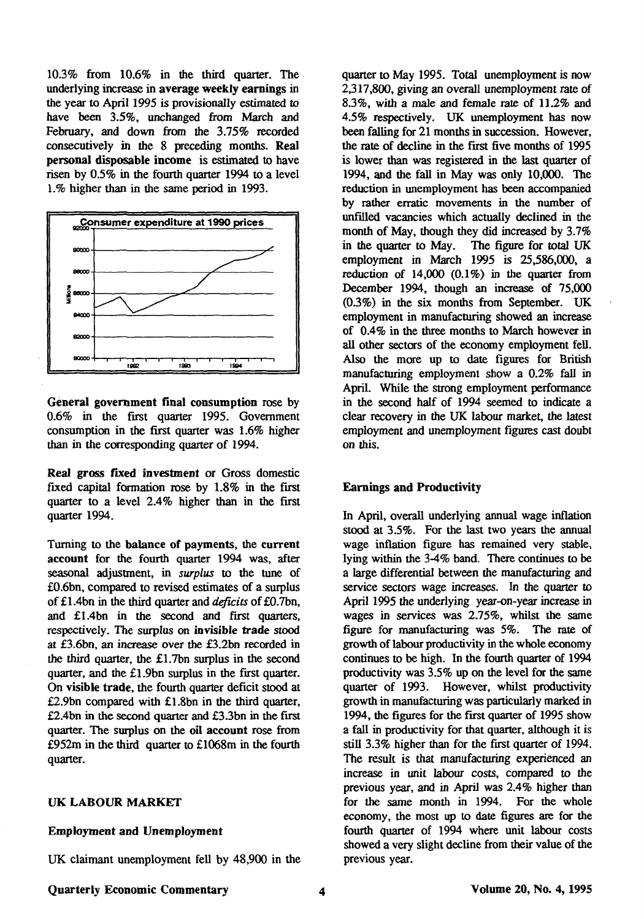10.3% from 10.6% in the third quarter. The underlying increase in **average weekly earnings** in the year to April 1995 is provisionally estimated to have been 3.5%, unchanged from March and February, and down from the 3.75% recorded consecutively in the 8 preceding months. **Real personal disposable income** is estimated to have risen by 0.5% in the fourth quarter 1994 to a level 1.% higher than in the same period in 1993.



**General government final consumption** rose by 0.6% in the first quarter 1995. Government consumption in the first quarter was 1.6% higher than in the corresponding quarter of 1994.

**Real gross fixed investment** or Gross domestic fixed capital formation rose by 1.8% in the first quarter to a level 2.4% higher than in the first quarter 1994.

Turning to the **balance** of **payments,** the **current account** for the fourth quarter 1994 was, after seasonal adjustment, in *surplus* to the tune of £0.6bn, compared to revised estimates of a surplus of £1.4bn in the third quarter and *deficits* of £0.7bn, and £1.4bn in the second and first quarters, respectively. The surplus on **invisible trade** stood at £3.6bn, an increase over the £3.2bn recorded in the third quarter, the £1.7bn surplus in the second quarter, and the £l.9bn surplus in the first quarter. On **visible trade,** the fourth quarter deficit stood at £2.9bn compared with £l.8bn in the third quarter, £2.4bn in die second quarter and £3.3bn in the first quarter. The surplus on the **oil account** rose from £952m in the third quarter to £1068m in the fourth quarter.

## **UK LABOUR MARKET**

#### **Employment and Unemployment**

UK claimant unemployment fell by 48,900 in the

quarter to May 1995. Total unemployment is now 2,317,800, giving an overall unemployment rate of 8.3%, with a male and female rate of 11.2% and 4.5% respectively. UK unemployment has now been falling for 21 months in succession. However, the rate of decline in the first five months of 1995 is lower than was registered in the last quarter of 1994, and the fall in May was only 10,000. The reduction in unemployment has been accompanied by rather erratic movements in the number of unfilled vacancies which actually declined in the month of May, though they did increased by 3.7%<br>in the quarter to May. The figure for total UK The figure for total UK employment in March 1995 is 25,586,000, a reduction of  $14,000$   $(0.1\%)$  in the quarter from December 1994, though an increase of 75,000 (03%) in the six months from September. UK employment in manufacturing showed an increase of 0.4% in the three months to March however in all other sectors of the economy employment fell. Also the more up to date figures for British manufacturing employment show a 0.2% fall in April. While the strong employment performance in the second half of 1994 seemed to indicate a clear recovery in the UK labour market, the latest employment and unemployment figures cast doubt on this.

### **Earnings and Productivity**

In April, overall underlying annual wage inflation stood at 3.5%. For the last two years the annual wage inflation figure has remained very stable, lying within die 3-4% band. There continues to be a large differential between the manufacturing and service sectors wage increases. In the quarter to April 1995 the underlying year-on-year increase in wages in services was 2.75%, whilst the same figure for manufacturing was 5%. The rate of growth of labour productivity in the whole economy continues to be high. In the fourth quarter of 1994 productivity was 3.5% up on the level for the same quarter of 1993. However, whilst productivity growth in manufacturing was particularly marked in 1994, the figures for the first quarter of 1995 show a fall in productivity for that quarter, although it is still 3.3% higher than for the first quarter of 1994. The result is that manufacturing experienced an increase in unit labour costs, compared to the previous year, and in April was 2.4% higher than for the same month in 1994. For die whole economy, the most up to date figures are for the fourth quarter of 1994 where unit labour costs showed a very slight decline from dieir value of the previous year.

**Quarterly Economic Commentary Volume 20, No. 4,1995**